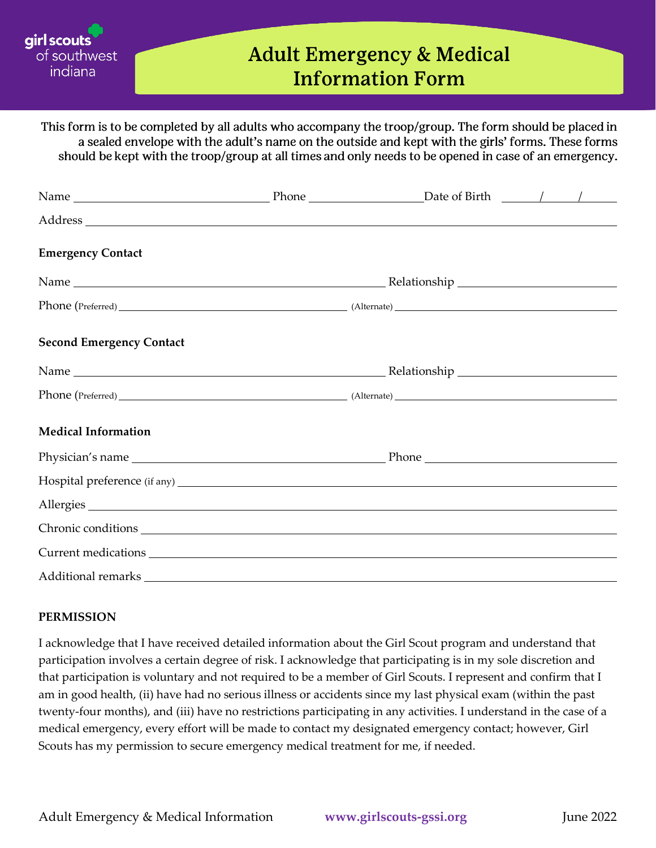

## **Adult Emergency & Medical Information Form**

This form is to be completed by all adults who accompany the troop/group. The form should be placed in a sealed envelope with the adult's name on the outside and kept with the girls' forms. These forms should be kept with the troop/group at all times and only needs to be opened in case of an emergency.

| <b>Emergency Contact</b>        |  |  |
|---------------------------------|--|--|
|                                 |  |  |
|                                 |  |  |
| <b>Second Emergency Contact</b> |  |  |
|                                 |  |  |
|                                 |  |  |
| <b>Medical Information</b>      |  |  |
|                                 |  |  |
|                                 |  |  |
| Allergies                       |  |  |
|                                 |  |  |
|                                 |  |  |
| Additional remarks              |  |  |

## **PERMISSION**

I acknowledge that I have received detailed information about the Girl Scout program and understand that participation involves a certain degree of risk. I acknowledge that participating is in my sole discretion and that participation is voluntary and not required to be a member of Girl Scouts. I represent and confirm that I am in good health, (ii) have had no serious illness or accidents since my last physical exam (within the past twenty-four months), and (iii) have no restrictions participating in any activities. I understand in the case of a medical emergency, every effort will be made to contact my designated emergency contact; however, Girl Scouts has my permission to secure emergency medical treatment for me, if needed.